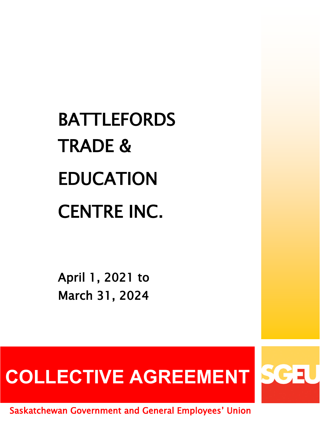# BATTLEFORDS TRADE & EDUCATION CENTRE INC.

April 1, 2021 to March 31, 2024

# **COLLECTIVE AGREEMENT**

Saskatchewan Government and General Employees' Union

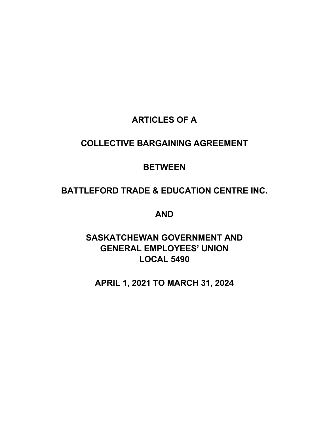# **ARTICLES OF A**

# **COLLECTIVE BARGAINING AGREEMENT**

# **BETWEEN**

# **BATTLEFORD TRADE & EDUCATION CENTRE INC.**

**AND** 

# **SASKATCHEWAN GOVERNMENT AND GENERAL EMPLOYEES' UNION LOCAL 5490**

**APRIL 1, 2021 TO MARCH 31, 2024**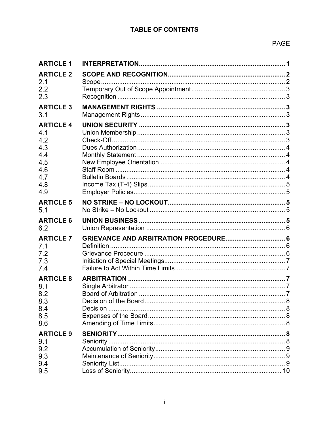### **TABLE OF CONTENTS**

### PAGE

| <b>ARTICLE 1</b>                                                                |          |    |
|---------------------------------------------------------------------------------|----------|----|
| <b>ARTICLE 2</b>                                                                |          |    |
| 2.1<br>2.2<br>2.3                                                               |          |    |
| <b>ARTICLE 3</b><br>3.1                                                         |          |    |
| <b>ARTICLE 4</b><br>4.1<br>4.2<br>4.3<br>4.4<br>4.5<br>4.6<br>4.7<br>4.8<br>4.9 |          |    |
| <b>ARTICLE 5</b><br>5.1                                                         |          |    |
| <b>ARTICLE 6</b><br>6.2                                                         |          |    |
| <b>ARTICLE 7</b><br>7.1<br>7.2<br>7.3<br>7.4                                    |          |    |
| <b>ARTICLE 8</b><br>8.1<br>8.2<br>8.3<br>8.4<br>8.5<br>8.6                      | Decision |    |
| <b>ARTICLE 9</b><br>9.1<br>9.2<br>9.3<br>9.4<br>9.5                             |          | 10 |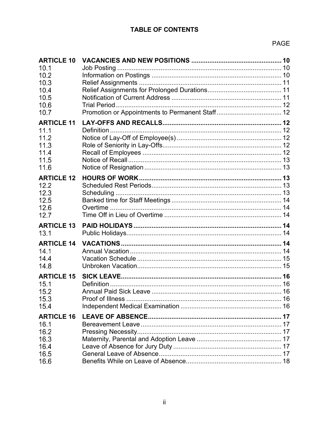## **TABLE OF CONTENTS**

### PAGE

| <b>ARTICLE 10</b> |  |
|-------------------|--|
| 10.1<br>10.2      |  |
| 10.3              |  |
| 10.4              |  |
| 10.5              |  |
| 10.6              |  |
| 10.7              |  |
| <b>ARTICLE 11</b> |  |
| 11.1              |  |
| 11.2              |  |
| 11.3<br>11.4      |  |
| 11.5              |  |
| 11.6              |  |
| <b>ARTICLE 12</b> |  |
| 12.2              |  |
| 12.3              |  |
| 12.5              |  |
| 12.6              |  |
| 12.7              |  |
| <b>ARTICLE 13</b> |  |
| 13.1              |  |
| <b>ARTICLE 14</b> |  |
| 14.1              |  |
| 14.4<br>14.8      |  |
|                   |  |
| <b>ARTICLE 15</b> |  |
| 15.1<br>15.2      |  |
| 15.3              |  |
| 15.4              |  |
| <b>ARTICLE 16</b> |  |
| 16.1              |  |
| 16.2              |  |
| 16.3              |  |
| 16.4              |  |
| 16.5              |  |
| 16.6              |  |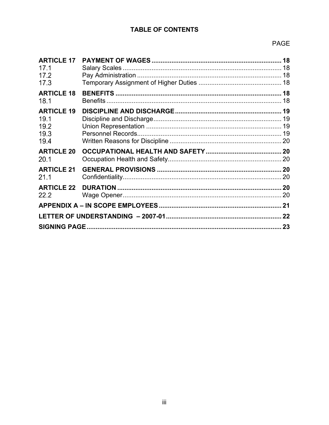### **TABLE OF CONTENTS**

### PAGE

| <b>ARTICLE 17</b><br>17.1<br>17.2<br>17.3         |  |  |
|---------------------------------------------------|--|--|
| <b>ARTICLE 18</b><br>18.1                         |  |  |
| <b>ARTICLE 19</b><br>19.1<br>19.2<br>19.3<br>19.4 |  |  |
| <b>ARTICLE 20</b><br>20.1                         |  |  |
| <b>ARTICLE 21</b><br>21.1                         |  |  |
| <b>ARTICLE 22</b><br>22.2                         |  |  |
|                                                   |  |  |
|                                                   |  |  |
|                                                   |  |  |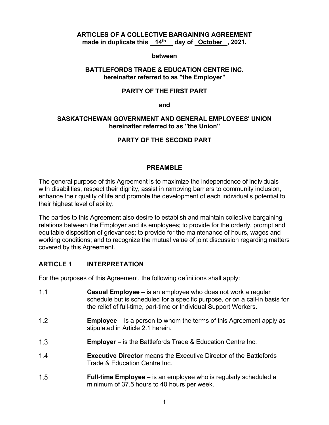### **ARTICLES OF A COLLECTIVE BARGAINING AGREEMENT made in duplicate this 14th day of October , 2021.**

### **between**

### **BATTLEFORDS TRADE & EDUCATION CENTRE INC. hereinafter referred to as "the Employer"**

### **PARTY OF THE FIRST PART**

### **and**

### **SASKATCHEWAN GOVERNMENT AND GENERAL EMPLOYEES' UNION hereinafter referred to as "the Union"**

### **PARTY OF THE SECOND PART**

### **PREAMBLE**

The general purpose of this Agreement is to maximize the independence of individuals with disabilities, respect their dignity, assist in removing barriers to community inclusion, enhance their quality of life and promote the development of each individual's potential to their highest level of ability.

The parties to this Agreement also desire to establish and maintain collective bargaining relations between the Employer and its employees; to provide for the orderly, prompt and equitable disposition of grievances; to provide for the maintenance of hours, wages and working conditions; and to recognize the mutual value of joint discussion regarding matters covered by this Agreement.

### **ARTICLE 1 INTERPRETATION**

For the purposes of this Agreement, the following definitions shall apply:

| 1.1 | <b>Casual Employee</b> $-$ is an employee who does not work a regular<br>schedule but is scheduled for a specific purpose, or on a call-in basis for<br>the relief of full-time, part-time or Individual Support Workers. |
|-----|---------------------------------------------------------------------------------------------------------------------------------------------------------------------------------------------------------------------------|
| 1.2 | <b>Employee</b> $-$ is a person to whom the terms of this Agreement apply as<br>stipulated in Article 2.1 herein.                                                                                                         |
| 1.3 | <b>Employer</b> – is the Battlefords Trade & Education Centre Inc.                                                                                                                                                        |
| 1.4 | <b>Executive Director</b> means the Executive Director of the Battlefords<br>Trade & Education Centre Inc.                                                                                                                |
| 1.5 | <b>Full-time Employee</b> – is an employee who is regularly scheduled a<br>minimum of 37.5 hours to 40 hours per week.                                                                                                    |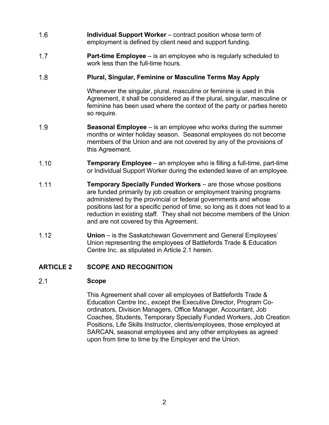- $1.6$ **Individual Support Worker** – contract position whose term of employment is defined by client need and support funding.
- $1.7$ **Part-time Employee** – is an employee who is regularly scheduled to work less than the full-time hours.

#### $1.8$ **Plural, Singular, Feminine or Masculine Terms May Apply**

Whenever the singular, plural, masculine or feminine is used in this Agreement, it shall be considered as if the plural, singular, masculine or feminine has been used where the context of the party or parties hereto so require.

- $1.9$ **Seasonal Employee** – is an employee who works during the summer months or winter holiday season. Seasonal employees do not become members of the Union and are not covered by any of the provisions of this Agreement.
- $1.10$ **Temporary Employee** – an employee who is filling a full-time, part-time or Individual Support Worker during the extended leave of an employee.
- $1.11$ **Temporary Specially Funded Workers** – are those whose positions are funded primarily by job creation or employment training programs administered by the provincial or federal governments and whose positions last for a specific period of time, so long as it does not lead to a reduction in existing staff. They shall not become members of the Union and are not covered by this Agreement.
- $1.12$ **Union** – is the Saskatchewan Government and General Employees' Union representing the employees of Battlefords Trade & Education Centre Inc. as stipulated in Article 2.1 herein.

### **ARTICLE 2 SCOPE AND RECOGNITION**

#### $2.1$ **Scope**

This Agreement shall cover all employees of Battlefords Trade & Education Centre Inc., except the Executive Director, Program Coordinators, Division Managers, Office Manager, Accountant, Job Coaches, Students, Temporary Specially Funded Workers, Job Creation Positions, Life Skills Instructor, clients/employees, those employed at SARCAN, seasonal employees and any other employees as agreed upon from time to time by the Employer and the Union.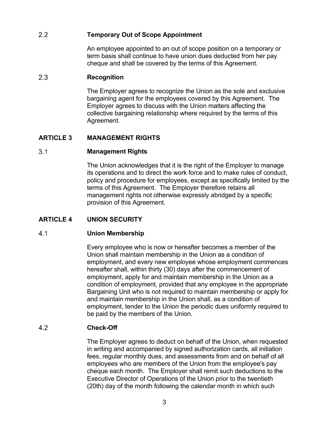#### $2.2$ **Temporary Out of Scope Appointment**

An employee appointed to an out of scope position on a temporary or term basis shall continue to have union dues deducted from her pay cheque and shall be covered by the terms of this Agreement.

#### $2.3$ **Recognition**

The Employer agrees to recognize the Union as the sole and exclusive bargaining agent for the employees covered by this Agreement. The Employer agrees to discuss with the Union matters affecting the collective bargaining relationship where required by the terms of this Agreement.

### **ARTICLE 3 MANAGEMENT RIGHTS**

#### $3.1$ **Management Rights**

The Union acknowledges that it is the right of the Employer to manage its operations and to direct the work force and to make rules of conduct, policy and procedure for employees, except as specifically limited by the terms of this Agreement. The Employer therefore retains all management rights not otherwise expressly abridged by a specific provision of this Agreement.

### **ARTICLE 4 UNION SECURITY**

#### $4.1$ **Union Membership**

Every employee who is now or hereafter becomes a member of the Union shall maintain membership in the Union as a condition of employment, and every new employee whose employment commences hereafter shall, within thirty (30) days after the commencement of employment, apply for and maintain membership in the Union as a condition of employment, provided that any employee in the appropriate Bargaining Unit who is not required to maintain membership or apply for and maintain membership in the Union shall, as a condition of employment, tender to the Union the periodic dues uniformly required to be paid by the members of the Union.

#### $4.2$ **Check-Off**

The Employer agrees to deduct on behalf of the Union, when requested in writing and accompanied by signed authorization cards, all initiation fees, regular monthly dues, and assessments from and on behalf of all employees who are members of the Union from the employee's pay cheque each month. The Employer shall remit such deductions to the Executive Director of Operations of the Union prior to the twentieth (20th) day of the month following the calendar month in which such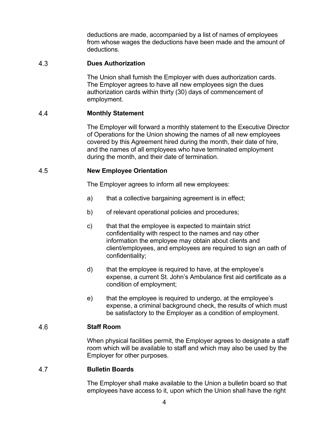deductions are made, accompanied by a list of names of employees from whose wages the deductions have been made and the amount of deductions.

#### 4.3 **Dues Authorization**

The Union shall furnish the Employer with dues authorization cards. The Employer agrees to have all new employees sign the dues authorization cards within thirty (30) days of commencement of employment.

#### 44 **Monthly Statement**

The Employer will forward a monthly statement to the Executive Director of Operations for the Union showing the names of all new employees covered by this Agreement hired during the month, their date of hire, and the names of all employees who have terminated employment during the month, and their date of termination.

#### 4.5 **New Employee Orientation**

The Employer agrees to inform all new employees:

- a) that a collective bargaining agreement is in effect;
- b) of relevant operational policies and procedures;
- c) that that the employee is expected to maintain strict confidentiality with respect to the names and nay other information the employee may obtain about clients and client/employees, and employees are required to sign an oath of confidentiality;
- d) that the employee is required to have, at the employee's expense, a current St. John's Ambulance first aid certificate as a condition of employment;
- e) that the employee is required to undergo, at the employee's expense, a criminal background check, the results of which must be satisfactory to the Employer as a condition of employment.

#### 4.6 **Staff Room**

When physical facilities permit, the Employer agrees to designate a staff room which will be available to staff and which may also be used by the Employer for other purposes.

#### 4.7 **Bulletin Boards**

The Employer shall make available to the Union a bulletin board so that employees have access to it, upon which the Union shall have the right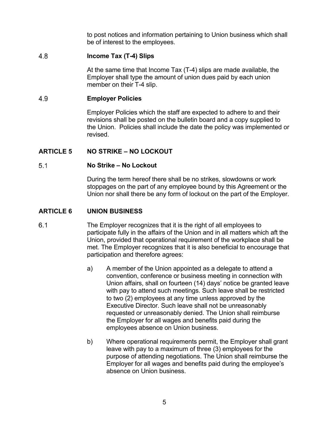to post notices and information pertaining to Union business which shall be of interest to the employees.

#### 4.8 **Income Tax (T-4) Slips**

At the same time that Income Tax (T-4) slips are made available, the Employer shall type the amount of union dues paid by each union member on their T-4 slip.

#### 4.9 **Employer Policies**

Employer Policies which the staff are expected to adhere to and their revisions shall be posted on the bulletin board and a copy supplied to the Union. Policies shall include the date the policy was implemented or revised.

### **ARTICLE 5 NO STRIKE – NO LOCKOUT**

#### $5.1$ **No Strike – No Lockout**

During the term hereof there shall be no strikes, slowdowns or work stoppages on the part of any employee bound by this Agreement or the Union nor shall there be any form of lockout on the part of the Employer.

### **ARTICLE 6 UNION BUSINESS**

- $6.1$ The Employer recognizes that it is the right of all employees to participate fully in the affairs of the Union and in all matters which aft the Union, provided that operational requirement of the workplace shall be met. The Employer recognizes that it is also beneficial to encourage that participation and therefore agrees:
	- a) A member of the Union appointed as a delegate to attend a convention, conference or business meeting in connection with Union affairs, shall on fourteen (14) days' notice be granted leave with pay to attend such meetings. Such leave shall be restricted to two (2) employees at any time unless approved by the Executive Director. Such leave shall not be unreasonably requested or unreasonably denied. The Union shall reimburse the Employer for all wages and benefits paid during the employees absence on Union business.
	- b) Where operational requirements permit, the Employer shall grant leave with pay to a maximum of three (3) employees for the purpose of attending negotiations. The Union shall reimburse the Employer for all wages and benefits paid during the employee's absence on Union business.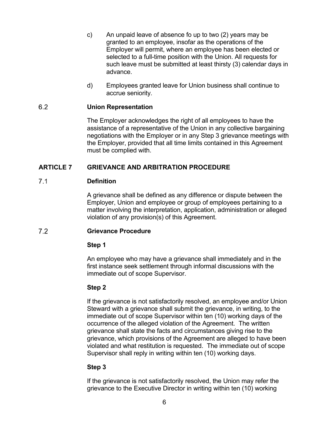- c) An unpaid leave of absence fo up to two (2) years may be granted to an employee, insofar as the operations of the Employer will permit, where an employee has been elected or selected to a full-time position with the Union. All requests for such leave must be submitted at least thirsty (3) calendar days in advance.
- d) Employees granted leave for Union business shall continue to accrue seniority.

#### $6.2$ **Union Representation**

The Employer acknowledges the right of all employees to have the assistance of a representative of the Union in any collective bargaining negotiations with the Employer or in any Step 3 grievance meetings with the Employer, provided that all time limits contained in this Agreement must be complied with.

### **ARTICLE 7 GRIEVANCE AND ARBITRATION PROCEDURE**

#### $7.1$ **Definition**

A grievance shall be defined as any difference or dispute between the Employer, Union and employee or group of employees pertaining to a matter involving the interpretation, application, administration or alleged violation of any provision(s) of this Agreement.

#### $7.2$ **Grievance Procedure**

### **Step 1**

An employee who may have a grievance shall immediately and in the first instance seek settlement through informal discussions with the immediate out of scope Supervisor.

### **Step 2**

If the grievance is not satisfactorily resolved, an employee and/or Union Steward with a grievance shall submit the grievance, in writing, to the immediate out of scope Supervisor within ten (10) working days of the occurrence of the alleged violation of the Agreement. The written grievance shall state the facts and circumstances giving rise to the grievance, which provisions of the Agreement are alleged to have been violated and what restitution is requested. The immediate out of scope Supervisor shall reply in writing within ten (10) working days.

### **Step 3**

If the grievance is not satisfactorily resolved, the Union may refer the grievance to the Executive Director in writing within ten (10) working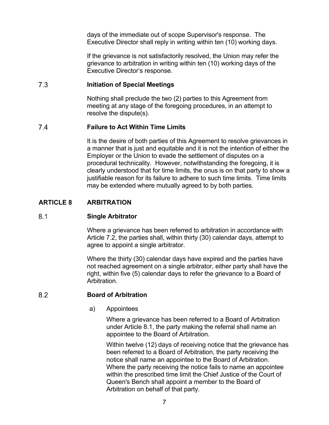days of the immediate out of scope Supervisor's response. The Executive Director shall reply in writing within ten (10) working days.

If the grievance is not satisfactorily resolved, the Union may refer the grievance to arbitration in writing within ten (10) working days of the Executive Director's response.

#### $7.3$ **Initiation of Special Meetings**

Nothing shall preclude the two (2) parties to this Agreement from meeting at any stage of the foregoing procedures, in an attempt to resolve the dispute(s).

#### $7.4$ **Failure to Act Within Time Limits**

It is the desire of both parties of this Agreement to resolve grievances in a manner that is just and equitable and it is not the intention of either the Employer or the Union to evade the settlement of disputes on a procedural technicality. However, notwithstanding the foregoing, it is clearly understood that for time limits, the onus is on that party to show a justifiable reason for its failure to adhere to such time limits. Time limits may be extended where mutually agreed to by both parties.

### **ARTICLE 8 ARBITRATION**

#### $8.1$ **Single Arbitrator**

Where a grievance has been referred to arbitration in accordance with Article 7.2, the parties shall, within thirty (30) calendar days, attempt to agree to appoint a single arbitrator.

Where the thirty (30) calendar days have expired and the parties have not reached agreement on a single arbitrator, either party shall have the right, within five (5) calendar days to refer the grievance to a Board of Arbitration.

#### $8.2$ **Board of Arbitration**

a) Appointees

Where a grievance has been referred to a Board of Arbitration under Article 8.1, the party making the referral shall name an appointee to the Board of Arbitration.

Within twelve (12) days of receiving notice that the grievance has been referred to a Board of Arbitration, the party receiving the notice shall name an appointee to the Board of Arbitration. Where the party receiving the notice fails to name an appointee within the prescribed time limit the Chief Justice of the Court of Queen's Bench shall appoint a member to the Board of Arbitration on behalf of that party.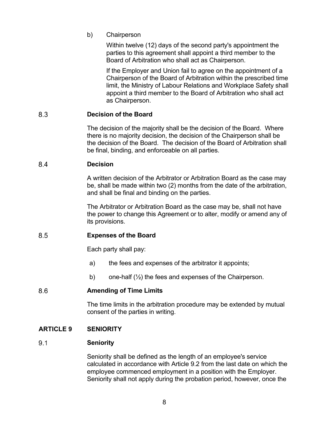b) Chairperson

Within twelve (12) days of the second party's appointment the parties to this agreement shall appoint a third member to the Board of Arbitration who shall act as Chairperson.

If the Employer and Union fail to agree on the appointment of a Chairperson of the Board of Arbitration within the prescribed time limit, the Ministry of Labour Relations and Workplace Safety shall appoint a third member to the Board of Arbitration who shall act as Chairperson.

#### 8.3 **Decision of the Board**

The decision of the majority shall be the decision of the Board. Where there is no majority decision, the decision of the Chairperson shall be the decision of the Board. The decision of the Board of Arbitration shall be final, binding, and enforceable on all parties.

#### **Decision** 8.4

A written decision of the Arbitrator or Arbitration Board as the case may be, shall be made within two (2) months from the date of the arbitration, and shall be final and binding on the parties.

The Arbitrator or Arbitration Board as the case may be, shall not have the power to change this Agreement or to alter, modify or amend any of its provisions.

#### 8.5 **Expenses of the Board**

Each party shall pay:

- a) the fees and expenses of the arbitrator it appoints;
- b) one-half  $(\frac{1}{2})$  the fees and expenses of the Chairperson.

#### 8.6 **Amending of Time Limits**

The time limits in the arbitration procedure may be extended by mutual consent of the parties in writing.

### **ARTICLE 9 SENIORITY**

#### $9.1$ **Seniority**

Seniority shall be defined as the length of an employee's service calculated in accordance with Article 9.2 from the last date on which the employee commenced employment in a position with the Employer. Seniority shall not apply during the probation period, however, once the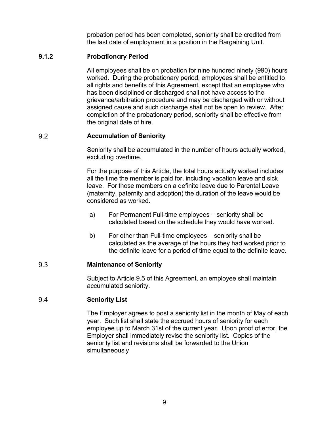probation period has been completed, seniority shall be credited from the last date of employment in a position in the Bargaining Unit.

### **9.1.2 Probationary Period**

All employees shall be on probation for nine hundred ninety (990) hours worked. During the probationary period, employees shall be entitled to all rights and benefits of this Agreement, except that an employee who has been disciplined or discharged shall not have access to the grievance/arbitration procedure and may be discharged with or without assigned cause and such discharge shall not be open to review. After completion of the probationary period, seniority shall be effective from the original date of hire.

#### 9.2 **Accumulation of Seniority**

Seniority shall be accumulated in the number of hours actually worked, excluding overtime.

For the purpose of this Article, the total hours actually worked includes all the time the member is paid for, including vacation leave and sick leave. For those members on a definite leave due to Parental Leave (maternity, paternity and adoption) the duration of the leave would be considered as worked.

- a) For Permanent Full-time employees seniority shall be calculated based on the schedule they would have worked.
- b) For other than Full-time employees seniority shall be calculated as the average of the hours they had worked prior to the definite leave for a period of time equal to the definite leave.

#### 9.3 **Maintenance of Seniority**

Subject to Article 9.5 of this Agreement, an employee shall maintain accumulated seniority.

#### 9.4 **Seniority List**

The Employer agrees to post a seniority list in the month of May of each year. Such list shall state the accrued hours of seniority for each employee up to March 31st of the current year. Upon proof of error, the Employer shall immediately revise the seniority list. Copies of the seniority list and revisions shall be forwarded to the Union simultaneously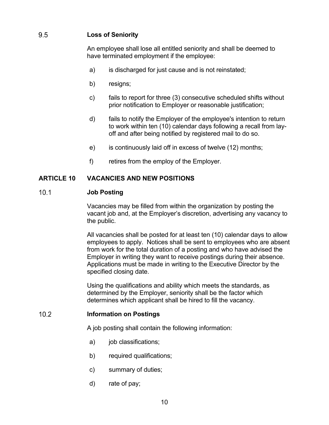#### 9.5 **Loss of Seniority**

An employee shall lose all entitled seniority and shall be deemed to have terminated employment if the employee:

- a) is discharged for just cause and is not reinstated;
- b) resigns;
- c) fails to report for three (3) consecutive scheduled shifts without prior notification to Employer or reasonable justification;
- d) fails to notify the Employer of the employee's intention to return to work within ten (10) calendar days following a recall from layoff and after being notified by registered mail to do so.
- e) is continuously laid off in excess of twelve (12) months;
- f) retires from the employ of the Employer.

### **ARTICLE 10 VACANCIES AND NEW POSITIONS**

#### $10.1$ **Job Posting**

Vacancies may be filled from within the organization by posting the vacant job and, at the Employer's discretion, advertising any vacancy to the public.

All vacancies shall be posted for at least ten (10) calendar days to allow employees to apply. Notices shall be sent to employees who are absent from work for the total duration of a posting and who have advised the Employer in writing they want to receive postings during their absence. Applications must be made in writing to the Executive Director by the specified closing date.

Using the qualifications and ability which meets the standards, as determined by the Employer, seniority shall be the factor which determines which applicant shall be hired to fill the vacancy.

#### $10.2$ **Information on Postings**

A job posting shall contain the following information:

- a) job classifications;
- b) required qualifications;
- c) summary of duties;
- d) rate of pay;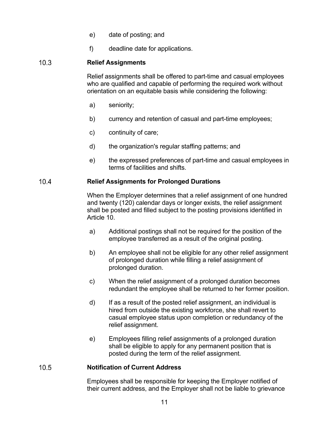- e) date of posting; and
- f) deadline date for applications.

#### $10.3$ **Relief Assignments**

Relief assignments shall be offered to part-time and casual employees who are qualified and capable of performing the required work without orientation on an equitable basis while considering the following:

- a) seniority;
- b) currency and retention of casual and part-time employees;
- c) continuity of care;
- d) the organization's regular staffing patterns; and
- e) the expressed preferences of part-time and casual employees in terms of facilities and shifts.

#### $10.4$ **Relief Assignments for Prolonged Durations**

When the Employer determines that a relief assignment of one hundred and twenty (120) calendar days or longer exists, the relief assignment shall be posted and filled subject to the posting provisions identified in Article 10.

- a) Additional postings shall not be required for the position of the employee transferred as a result of the original posting.
- b) An employee shall not be eligible for any other relief assignment of prolonged duration while filling a relief assignment of prolonged duration.
- c) When the relief assignment of a prolonged duration becomes redundant the employee shall be returned to her former position.
- d) If as a result of the posted relief assignment, an individual is hired from outside the existing workforce, she shall revert to casual employee status upon completion or redundancy of the relief assignment.
- e) Employees filling relief assignments of a prolonged duration shall be eligible to apply for any permanent position that is posted during the term of the relief assignment.

#### $10.5$ **Notification of Current Address**

Employees shall be responsible for keeping the Employer notified of their current address, and the Employer shall not be liable to grievance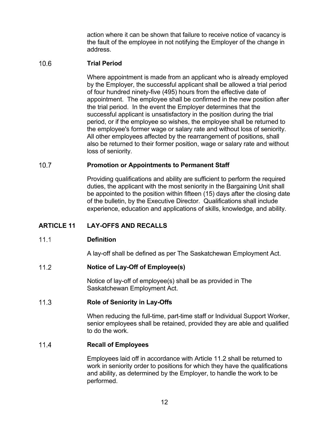action where it can be shown that failure to receive notice of vacancy is the fault of the employee in not notifying the Employer of the change in address.

#### $10.6$ **Trial Period**

Where appointment is made from an applicant who is already employed by the Employer, the successful applicant shall be allowed a trial period of four hundred ninety-five (495) hours from the effective date of appointment. The employee shall be confirmed in the new position after the trial period. In the event the Employer determines that the successful applicant is unsatisfactory in the position during the trial period, or if the employee so wishes, the employee shall be returned to the employee's former wage or salary rate and without loss of seniority. All other employees affected by the rearrangement of positions, shall also be returned to their former position, wage or salary rate and without loss of seniority.

#### $10.7$ **Promotion or Appointments to Permanent Staff**

Providing qualifications and ability are sufficient to perform the required duties, the applicant with the most seniority in the Bargaining Unit shall be appointed to the position within fifteen (15) days after the closing date of the bulletin, by the Executive Director. Qualifications shall include experience, education and applications of skills, knowledge, and ability.

### **ARTICLE 11 LAY-OFFS AND RECALLS**

#### $11.1$ **Definition**

A lay-off shall be defined as per The Saskatchewan Employment Act.

#### $11.2$ **Notice of Lay-Off of Employee(s)**

Notice of lay-off of employee(s) shall be as provided in The Saskatchewan Employment Act.

#### $11.3$ **Role of Seniority in Lay-Offs**

When reducing the full-time, part-time staff or Individual Support Worker, senior employees shall be retained, provided they are able and qualified to do the work.

#### $11.4$ **Recall of Employees**

Employees laid off in accordance with Article 11.2 shall be returned to work in seniority order to positions for which they have the qualifications and ability, as determined by the Employer, to handle the work to be performed.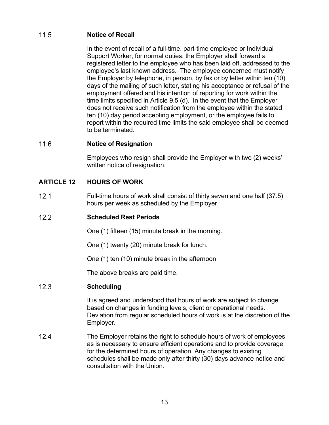#### $11.5$ **Notice of Recall**

In the event of recall of a full-time. part-time employee or Individual Support Worker, for normal duties, the Employer shall forward a registered letter to the employee who has been laid off, addressed to the employee's last known address. The employee concerned must notify the Employer by telephone, in person, by fax or by letter within ten (10) days of the mailing of such letter, stating his acceptance or refusal of the employment offered and his intention of reporting for work within the time limits specified in Article 9.5 (d). In the event that the Employer does not receive such notification from the employee within the stated ten (10) day period accepting employment, or the employee fails to report within the required time limits the said employee shall be deemed to be terminated.

#### $11.6$ **Notice of Resignation**

Employees who resign shall provide the Employer with two (2) weeks' written notice of resignation.

### **ARTICLE 12 HOURS OF WORK**

 $12<sub>1</sub>$ Full-time hours of work shall consist of thirty seven and one half (37.5) hours per week as scheduled by the Employer

#### $12.2$ **Scheduled Rest Periods**

One (1) fifteen (15) minute break in the morning.

One (1) twenty (20) minute break for lunch.

One (1) ten (10) minute break in the afternoon

The above breaks are paid time.

#### $12.3$ **Scheduling**

It is agreed and understood that hours of work are subject to change based on changes in funding levels, client or operational needs. Deviation from regular scheduled hours of work is at the discretion of the Employer.

 $12.4$ The Employer retains the right to schedule hours of work of employees as is necessary to ensure efficient operations and to provide coverage for the determined hours of operation. Any changes to existing schedules shall be made only after thirty (30) days advance notice and consultation with the Union.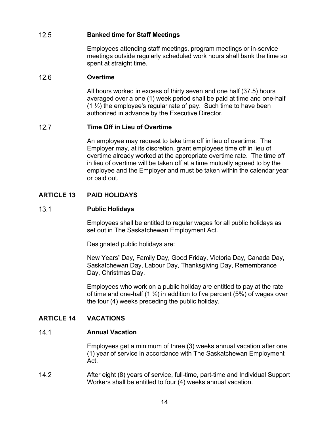#### $12.5$ **Banked time for Staff Meetings**

Employees attending staff meetings, program meetings or in-service meetings outside regularly scheduled work hours shall bank the time so spent at straight time.

#### $12.6$ **Overtime**

All hours worked in excess of thirty seven and one half (37.5) hours averaged over a one (1) week period shall be paid at time and one-half  $(1 \frac{1}{2})$  the employee's regular rate of pay. Such time to have been authorized in advance by the Executive Director.

#### $12.7$ **Time Off in Lieu of Overtime**

An employee may request to take time off in lieu of overtime. The Employer may, at its discretion, grant employees time off in lieu of overtime already worked at the appropriate overtime rate. The time off in lieu of overtime will be taken off at a time mutually agreed to by the employee and the Employer and must be taken within the calendar year or paid out.

### **ARTICLE 13 PAID HOLIDAYS**

#### $13.1$ **Public Holidays**

Employees shall be entitled to regular wages for all public holidays as set out in The Saskatchewan Employment Act.

Designated public holidays are:

New Years**'** Day, Family Day, Good Friday, Victoria Day, Canada Day, Saskatchewan Day, Labour Day, Thanksgiving Day, Remembrance Day, Christmas Day.

Employees who work on a public holiday are entitled to pay at the rate of time and one-half  $(1 \frac{1}{2})$  in addition to five percent (5%) of wages over the four (4) weeks preceding the public holiday.

### **ARTICLE 14 VACATIONS**

#### $14.1$ **Annual Vacation**

Employees get a minimum of three (3) weeks annual vacation after one (1) year of service in accordance with The Saskatchewan Employment Act.

 $14.2$ After eight (8) years of service, full-time, part-time and Individual Support Workers shall be entitled to four (4) weeks annual vacation.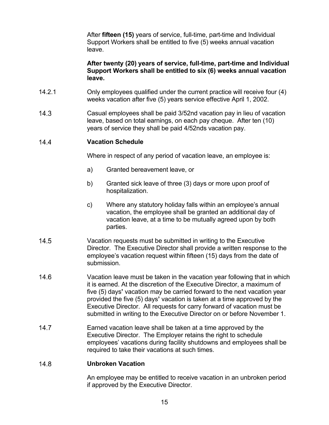After **fifteen (15)** years of service, full-time, part-time and Individual Support Workers shall be entitled to five (5) weeks annual vacation leave.

**After twenty (20) years of service, full-time, part-time and Individual Support Workers shall be entitled to six (6) weeks annual vacation leave.** 

- 14.2.1 Only employees qualified under the current practice will receive four (4) weeks vacation after five (5) years service effective April 1, 2002.
- $14.3$ Casual employees shall be paid 3/52nd vacation pay in lieu of vacation leave, based on total earnings, on each pay cheque. After ten (10) years of service they shall be paid 4/52nds vacation pay.

#### $14.4$ **Vacation Schedule**

Where in respect of any period of vacation leave, an employee is:

- a) Granted bereavement leave, or
- b) Granted sick leave of three (3) days or more upon proof of hospitalization.
- c) Where any statutory holiday falls within an employee's annual vacation, the employee shall be granted an additional day of vacation leave, at a time to be mutually agreed upon by both parties.
- $14.5$ Vacation requests must be submitted in writing to the Executive Director. The Executive Director shall provide a written response to the employee's vacation request within fifteen (15) days from the date of submission.
- $14.6$ Vacation leave must be taken in the vacation year following that in which it is earned. At the discretion of the Executive Director, a maximum of five (5) days**'** vacation may be carried forward to the next vacation year provided the five (5) days**'** vacation is taken at a time approved by the Executive Director. All requests for carry forward of vacation must be submitted in writing to the Executive Director on or before November 1.
- $14.7$ Earned vacation leave shall be taken at a time approved by the Executive Director. The Employer retains the right to schedule employees' vacations during facility shutdowns and employees shall be required to take their vacations at such times.

#### **Unbroken Vacation**   $14.8$

An employee may be entitled to receive vacation in an unbroken period if approved by the Executive Director.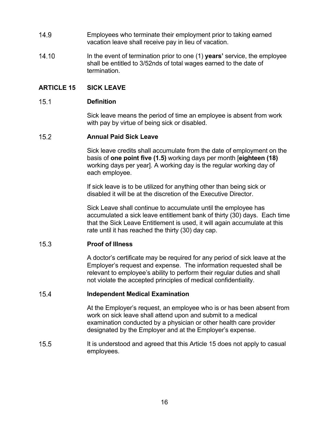- $14.9$ Employees who terminate their employment prior to taking earned vacation leave shall receive pay in lieu of vacation.
- 14.10 In the event of termination prior to one (1) **years'** service, the employee shall be entitled to 3/52nds of total wages earned to the date of termination.

### **ARTICLE 15 SICK LEAVE**

#### $15.1$ **Definition**

Sick leave means the period of time an employee is absent from work with pay by virtue of being sick or disabled.

#### $15.2$ **Annual Paid Sick Leave**

Sick leave credits shall accumulate from the date of employment on the basis of **one point five (1.5)** working days per month [**eighteen (18)**  working days per year]. A working day is the regular working day of each employee.

If sick leave is to be utilized for anything other than being sick or disabled it will be at the discretion of the Executive Director.

Sick Leave shall continue to accumulate until the employee has accumulated a sick leave entitlement bank of thirty (30) days. Each time that the Sick Leave Entitlement is used, it will again accumulate at this rate until it has reached the thirty (30) day cap.

#### $15.3$ **Proof of Illness**

A doctor's certificate may be required for any period of sick leave at the Employer's request and expense. The information requested shall be relevant to employee's ability to perform their regular duties and shall not violate the accepted principles of medical confidentiality.

#### $15.4$ **Independent Medical Examination**

At the Employer's request, an employee who is or has been absent from work on sick leave shall attend upon and submit to a medical examination conducted by a physician or other health care provider designated by the Employer and at the Employer's expense.

15.5 It is understood and agreed that this Article 15 does not apply to casual employees.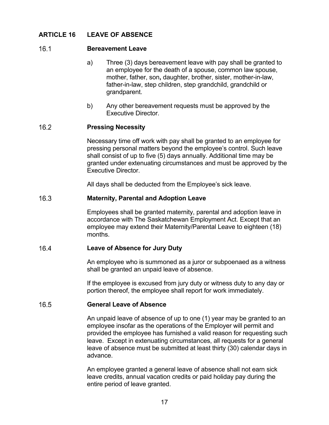### **ARTICLE 16 LEAVE OF ABSENCE**

#### $16.1$ **Bereavement Leave**

- a) Three (3) days bereavement leave with pay shall be granted to an employee for the death of a spouse, common law spouse, mother, father, son**,** daughter, brother, sister, mother-in-law, father-in-law, step children, step grandchild, grandchild or grandparent.
- b) Any other bereavement requests must be approved by the Executive Director.

#### $16.2$ **Pressing Necessity**

Necessary time off work with pay shall be granted to an employee for pressing personal matters beyond the employee's control. Such leave shall consist of up to five (5) days annually. Additional time may be granted under extenuating circumstances and must be approved by the Executive Director.

All days shall be deducted from the Employee's sick leave.

#### $16.3$ **Maternity, Parental and Adoption Leave**

Employees shall be granted maternity, parental and adoption leave in accordance with The Saskatchewan Employment Act. Except that an employee may extend their Maternity/Parental Leave to eighteen (18) months.

#### 16.4 **Leave of Absence for Jury Duty**

An employee who is summoned as a juror or subpoenaed as a witness shall be granted an unpaid leave of absence.

If the employee is excused from jury duty or witness duty to any day or portion thereof, the employee shall report for work immediately.

#### 16.5 **General Leave of Absence**

An unpaid leave of absence of up to one (1) year may be granted to an employee insofar as the operations of the Employer will permit and provided the employee has furnished a valid reason for requesting such leave. Except in extenuating circumstances, all requests for a general leave of absence must be submitted at least thirty (30) calendar days in advance.

An employee granted a general leave of absence shall not earn sick leave credits, annual vacation credits or paid holiday pay during the entire period of leave granted.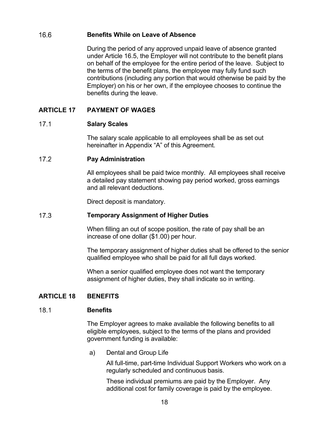#### 16.6 **Benefits While on Leave of Absence**

During the period of any approved unpaid leave of absence granted under Article 16.5, the Employer will not contribute to the benefit plans on behalf of the employee for the entire period of the leave. Subject to the terms of the benefit plans, the employee may fully fund such contributions (including any portion that would otherwise be paid by the Employer) on his or her own, if the employee chooses to continue the benefits during the leave.

### **ARTICLE 17 PAYMENT OF WAGES**

#### $17.1$ **Salary Scales**

The salary scale applicable to all employees shall be as set out hereinafter in Appendix "A" of this Agreement.

#### $17.2$ **Pay Administration**

All employees shall be paid twice monthly. All employees shall receive a detailed pay statement showing pay period worked, gross earnings and all relevant deductions.

Direct deposit is mandatory.

#### $17.3$ **Temporary Assignment of Higher Duties**

When filling an out of scope position, the rate of pay shall be an increase of one dollar (\$1.00) per hour.

The temporary assignment of higher duties shall be offered to the senior qualified employee who shall be paid for all full days worked.

When a senior qualified employee does not want the temporary assignment of higher duties, they shall indicate so in writing.

### **ARTICLE 18 BENEFITS**

#### $18.1$ **Benefits**

The Employer agrees to make available the following benefits to all eligible employees, subject to the terms of the plans and provided government funding is available:

a) Dental and Group Life

All full-time, part-time Individual Support Workers who work on a regularly scheduled and continuous basis.

These individual premiums are paid by the Employer. Any additional cost for family coverage is paid by the employee.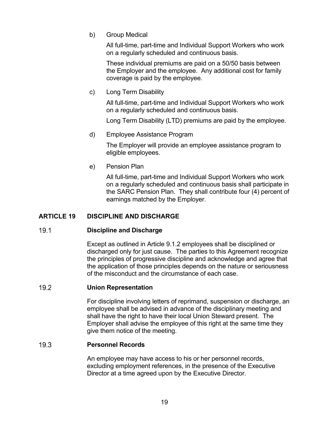b) Group Medical

All full-time, part-time and Individual Support Workers who work on a regularly scheduled and continuous basis.

These individual premiums are paid on a 50/50 basis between the Employer and the employee. Any additional cost for family coverage is paid by the employee.

c) Long Term Disability

All full-time, part-time and Individual Support Workers who work on a regularly scheduled and continuous basis.

Long Term Disability (LTD) premiums are paid by the employee.

d) Employee Assistance Program

The Employer will provide an employee assistance program to eligible employees.

e) Pension Plan

All full-time, part-time and Individual Support Workers who work on a regularly scheduled and continuous basis shall participate in the SARC Pension Plan. They shall contribute four (4) percent of earnings matched by the Employer.

### **ARTICLE 19 DISCIPLINE AND DISCHARGE**

#### $19.1$ **Discipline and Discharge**

Except as outlined in Article 9.1.2 employees shall be disciplined or discharged only for just cause. The parties to this Agreement recognize the principles of progressive discipline and acknowledge and agree that the application of those principles depends on the nature or seriousness of the misconduct and the circumstance of each case.

#### $19.2$ **Union Representation**

For discipline involving letters of reprimand, suspension or discharge, an employee shall be advised in advance of the disciplinary meeting and shall have the right to have their local Union Steward present. The Employer shall advise the employee of this right at the same time they give them notice of the meeting.

#### $19.3$ **Personnel Records**

An employee may have access to his or her personnel records, excluding employment references, in the presence of the Executive Director at a time agreed upon by the Executive Director.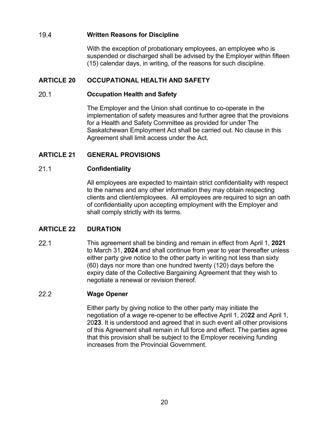#### 19.4 **Written Reasons for Discipline**

With the exception of probationary employees, an employee who is suspended or discharged shall be advised by the Employer within fifteen (15) calendar days, in writing, of the reasons for such discipline.

### **ARTICLE 20 OCCUPATIONAL HEALTH AND SAFETY**

#### $20.1$ **Occupation Health and Safety**

The Employer and the Union shall continue to co-operate in the implementation of safety measures and further agree that the provisions for a Health and Safety Committee as provided for under The Saskatchewan Employment Act shall be carried out. No clause in this Agreement shall limit access under the Act.

### **ARTICLE 21 GENERAL PROVISIONS**

#### $21.1$ **Confidentiality**

All employees are expected to maintain strict confidentiality with respect to the names and any other information they may obtain respecting clients and client/employees. All employees are required to sign an oath of confidentiality upon accepting employment with the Employer and shall comply strictly with its terms.

### **ARTICLE 22 DURATION**

 $221$ This agreement shall be binding and remain in effect from April 1, **2021** to March 31, **2024** and shall continue from year to year thereafter unless either party give notice to the other party in writing not less than sixty (60) days nor more than one hundred twenty (120) days before the expiry date of the Collective Bargaining Agreement that they wish to negotiate a renewal or revision thereof.

#### $22.2$ **Wage Opener**

Either party by giving notice to the other party may initiate the negotiation of a wage re-opener to be effective April 1, 20**22** and April 1, 20**23**. It is understood and agreed that in such event all other provisions of this Agreement shall remain in full force and effect. The parties agree that this provision shall be subject to the Employer receiving funding increases from the Provincial Government.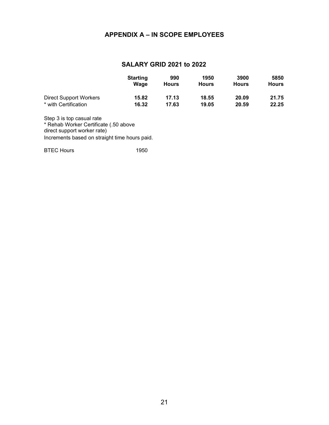### **APPENDIX A – IN SCOPE EMPLOYEES**

### **SALARY GRID 2021 to 2022**

|                        | <b>Starting</b><br>Wage | 990<br><b>Hours</b> | 1950<br><b>Hours</b> | 3900<br><b>Hours</b> | 5850<br><b>Hours</b> |
|------------------------|-------------------------|---------------------|----------------------|----------------------|----------------------|
| Direct Support Workers | 15.82                   | 17.13               | 18.55                | 20.09                | 21.75                |
| * with Certification   | 16.32                   | 17.63               | 19.05                | 20.59                | 22.25                |

Step 3 is top casual rate \* Rehab Worker Certificate (.50 above direct support worker rate) Increments based on straight time hours paid.

BTEC Hours 1950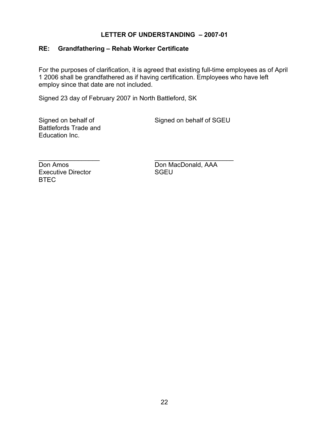### **LETTER OF UNDERSTANDING – 2007-01**

## **RE: Grandfathering – Rehab Worker Certificate**

For the purposes of clarification, it is agreed that existing full-time employees as of April 1 2006 shall be grandfathered as if having certification. Employees who have left employ since that date are not included.

Signed 23 day of February 2007 in North Battleford, SK

Battlefords Trade and Education Inc.

Signed on behalf of Signed on behalf of SGEU

Executive Director BTEC

\_\_\_\_\_\_\_\_\_\_\_\_\_\_\_\_\_ \_\_\_\_\_\_\_\_\_\_\_\_\_\_\_\_\_\_\_\_\_\_ Don Amos<br>
Executive Director<br>
Executive Director<br>
SGEU